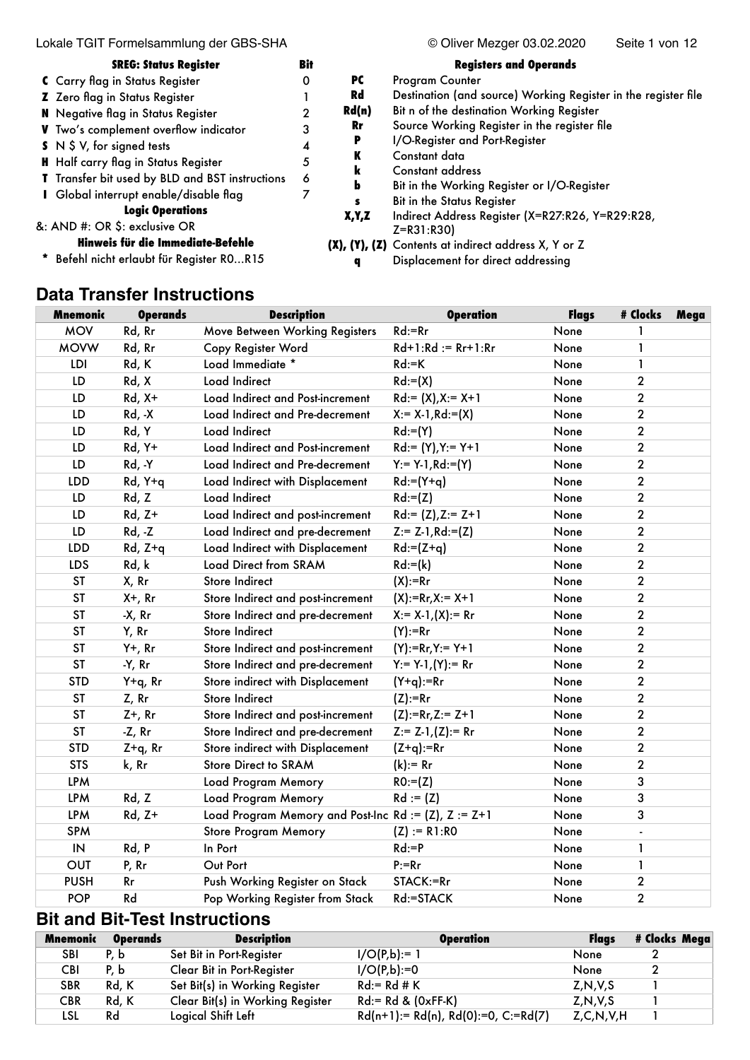Lokale TGIT Formelsammlung der GBS-SHA  $\degree$  Oliver Mezger 03.02.2020 Seite 1 von 12

| <b>SREG: Status Register</b>                    | Bit |       | <b>Registers and Operands</b>                                       |
|-------------------------------------------------|-----|-------|---------------------------------------------------------------------|
| C Carry flag in Status Register                 | 0   | РC    | Program Counter                                                     |
| Z Zero flag in Status Register                  |     | Rd    | Destination (and source) Working Register in the register file      |
| <b>N</b> Negative flag in Status Register       | 2   | Rd(n) | Bit n of the destination Working Register                           |
| V Two's complement overflow indicator           | 3   | Rr    | Source Working Register in the register file                        |
| $S \cup S \cup S$ , for signed tests            | 4   | Р     | I/O-Register and Port-Register                                      |
| <b>H</b> Half carry flag in Status Register     | 5   | К     | Constant data                                                       |
| T Transfer bit used by BLD and BST instructions | 6   | k     | Constant address                                                    |
| I Global interrupt enable/disable flag          |     | ь     | Bit in the Working Register or I/O-Register                         |
| <b>Logic Operations</b>                         |     |       | Bit in the Status Register                                          |
| &: AND #: OR \$: exclusive OR                   |     | X,Y,Z | Indirect Address Register (X=R27:R26, Y=R29:R28,<br>$Z = R31 : R30$ |
| Hinweis für die Immediate-Befehle               |     |       | (X), (Y), (Z) Contents at indirect address X, Y or Z                |
| * Befehl nicht erlaubt für Register ROR15       |     |       | Displacement for direct addressing                                  |

# **Data Transfer Instructions**

| <b>Mnemonic</b> | <b>Operands</b> | <b>Description</b>                                      | <b>Operation</b>        | <b>Flags</b> | # Clocks       | Mega |
|-----------------|-----------------|---------------------------------------------------------|-------------------------|--------------|----------------|------|
| <b>MOV</b>      | Rd, Rr          | Move Between Working Registers                          | $Rd:=Rr$                | None         |                |      |
| <b>MOVW</b>     | Rd, Rr          | Copy Register Word                                      | $Rd+1:Rd := Rr+1:Rr$    | None         | 1              |      |
| LDI             | Rd, K           | Load Immediate *                                        | $Rd:=K$                 | None         | 1              |      |
| LD              | Rd, X           | Load Indirect                                           | $Rd := (X)$             | None         | $\overline{2}$ |      |
| LD              | $Rd, X+$        | Load Indirect and Post-increment                        | $Rd := (X), X := X+1$   | None         | $\overline{2}$ |      |
| LD              | $Rd, -X$        | Load Indirect and Pre-decrement                         | $X:= X-1, Rd:= (X)$     | None         | $\overline{2}$ |      |
| LD              | Rd, Y           | Load Indirect                                           | $Rd:= (Y)$              | None         | $\overline{2}$ |      |
| LD              | Rd, Y+          | Load Indirect and Post-increment                        | $Rd := (Y), Y = Y+1$    | None         | $\overline{2}$ |      |
| LD              | Rd, -Y          | Load Indirect and Pre-decrement                         | $Y = Y-1, Rd := (Y)$    | None         | $\overline{2}$ |      |
| <b>LDD</b>      | Rd, Y+q         | Load Indirect with Displacement                         | $Rd:=(Y+a)$             | None         | $\overline{2}$ |      |
| LD              | Rd, Z           | Load Indirect                                           | $Rd := (Z)$             | None         | $\overline{2}$ |      |
| LD              | $Rd, Z+$        | Load Indirect and post-increment                        | $Rd := (Z), Z := Z+1$   | None         | $\overline{2}$ |      |
| LD              | $Rd, -Z$        | Load Indirect and pre-decrement                         | $Z := Z - 1, Rd := (Z)$ | None         | $\overline{2}$ |      |
| LDD             | $Rd, Z+q$       | Load Indirect with Displacement                         | $Rd:=(Z+a)$             | None         | $\overline{2}$ |      |
| LDS             | Rd, k           | Load Direct from SRAM                                   | $Rd := (k)$             | None         | $\overline{2}$ |      |
| ST              | X, Rr           | Store Indirect                                          | $(X):=Rr$               | None         | $\overline{2}$ |      |
| <b>ST</b>       | X+, Rr          | Store Indirect and post-increment                       | $(X):=Rr,X:=X+1$        | None         | $\overline{2}$ |      |
| ST              | $-X$ , $Rr$     | Store Indirect and pre-decrement                        | $X:= X-1, (X):= Rr$     | None         | $\overline{2}$ |      |
| <b>ST</b>       | Y, Rr           | <b>Store Indirect</b>                                   | $(Y):=Rr$               | None         | $\overline{2}$ |      |
| <b>ST</b>       | $Y+$ , Rr       | Store Indirect and post-increment                       | $(Y):=Rr, Y:=Y+1$       | None         | $\overline{2}$ |      |
| <b>ST</b>       | -Y, Rr          | Store Indirect and pre-decrement                        | $Y:= Y-1,(Y):= Rr$      | None         | $\overline{2}$ |      |
| <b>STD</b>      | $Y+q$ , Rr      | Store indirect with Displacement                        | $(Y + q) := Rr$         | None         | $\overline{2}$ |      |
| <b>ST</b>       | Z, Rr           | <b>Store Indirect</b>                                   | $(Z):=Rr$               | None         | $\overline{2}$ |      |
| <b>ST</b>       | $Z+$ , Rr       | Store Indirect and post-increment                       | $(Z):=Rr, Z:= Z+1$      | None         | $\overline{2}$ |      |
| <b>ST</b>       | $-Z$ , $Rr$     | Store Indirect and pre-decrement                        | $Z := Z - 1, (Z) := Rr$ | None         | $\overline{2}$ |      |
| <b>STD</b>      | $Z + q$ , Rr    | Store indirect with Displacement                        | $(Z+q):=Rr$             | None         | $\overline{2}$ |      |
| <b>STS</b>      | k, Rr           | Store Direct to SRAM                                    | $(k):= Rr$              | None         | $\overline{2}$ |      |
| <b>LPM</b>      |                 | Load Program Memory                                     | $RO:= (Z)$              | None         | 3              |      |
| <b>LPM</b>      | Rd, Z           | Load Program Memory                                     | $Rd := (Z)$             | None         | 3              |      |
| <b>LPM</b>      | Rd, Z+          | Load Program Memory and Post-Inc Rd := $(Z)$ , Z := Z+1 |                         | None         | 3              |      |
| <b>SPM</b>      |                 | <b>Store Program Memory</b>                             | $(Z) := R1:RO$          | None         | $\blacksquare$ |      |
| $\sf IN$        | Rd, P           | In Port                                                 | $Rd:=P$                 | None         | 1              |      |
| <b>OUT</b>      | P, Rr           | Out Port                                                | $P:=Rr$                 | None         | 1              |      |
| <b>PUSH</b>     | Rr              | Push Working Register on Stack                          | STACK:=Rr               | None         | $\overline{2}$ |      |
| <b>POP</b>      | Rd              | Pop Working Register from Stack                         | Rd:=STACK               | None         | $\overline{2}$ |      |

# **Bit and Bit-Test Instructions**

| <b>Mnemonic</b> | <b>Operands</b> | <b>Description</b>               | <b>Operation</b>                      | <b>Flaas</b>  | # Clocks Mega |
|-----------------|-----------------|----------------------------------|---------------------------------------|---------------|---------------|
| <b>SBI</b>      | P.b             | Set Bit in Port-Register         | $I/O(P,b):= 1$                        | None          |               |
| <b>CBI</b>      | P.b             | Clear Bit in Port-Register       | $I/O(P,b):=0$                         | None          |               |
| <b>SBR</b>      | Rd. K           | Set Bit(s) in Working Register   | $Rd = Rd#K$                           | Z, N, V, S    |               |
| <b>CBR</b>      | Rd, K           | Clear Bit(s) in Working Register | $Rd = Rd & (OxFF-K)$                  | Z, N, V, S    |               |
| LSL             | Rd              | Logical Shift Left               | $Rd(n+1):= Rd(n), Rd(0):=0, C:=Rd(7)$ | Z, C, N, V, H |               |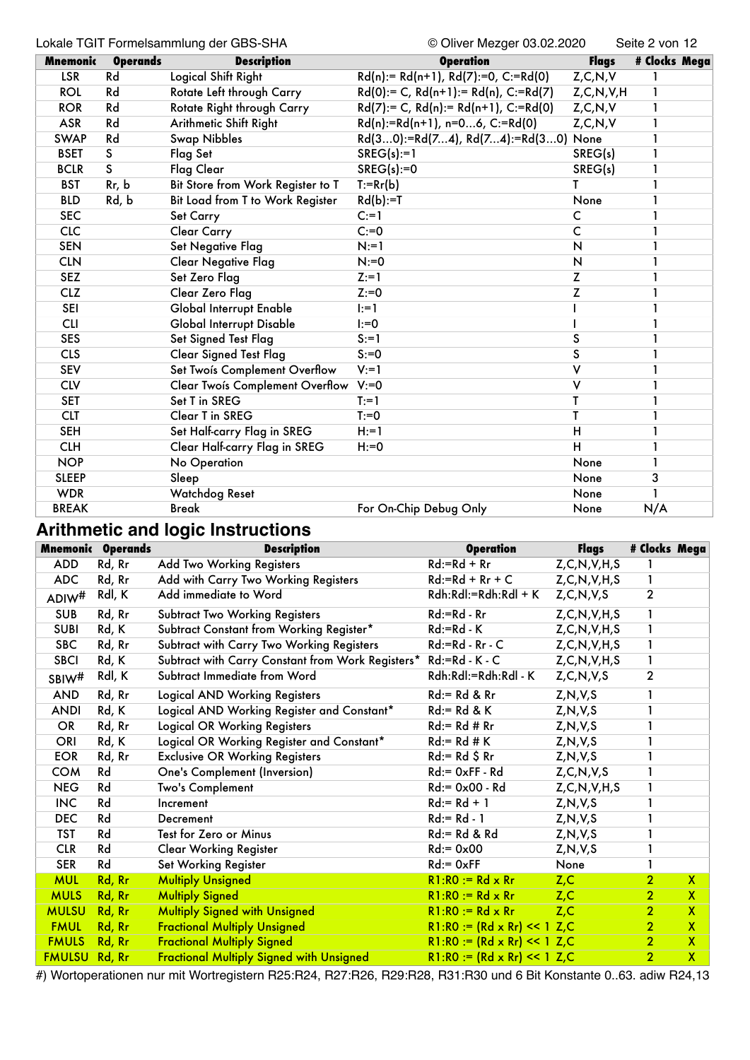#### Lokale TGIT Formelsammlung der GBS-SHA © Oliver Mezger 03.02.2020 Seite 2 von 12

| <b>Mnemonic</b> | <b>Operands</b>         | <b>Description</b>                     | <b>Operation</b>                               | <b>Flags</b>  | # Clocks Mega |
|-----------------|-------------------------|----------------------------------------|------------------------------------------------|---------------|---------------|
| <b>LSR</b>      | Rd                      | Logical Shift Right                    | $Rd(n):= Rd(n+1), Rd(7):=0, C:=Rd(0)$          | Z, C, N, V    |               |
| <b>ROL</b>      | Rd                      | Rotate Left through Carry              | $Rd(0) := C$ , $Rd(n+1) := Rd(n)$ , $C:=Rd(7)$ | Z, C, N, V, H |               |
| <b>ROR</b>      | Rd                      | Rotate Right through Carry             | $Rd(7) := C$ , $Rd(n) := Rd(n+1)$ , $C:=Rd(0)$ | Z, C, N, V    |               |
| <b>ASR</b>      | Rd                      | Arithmetic Shift Right                 | $Rd(n):=Rd(n+1), n=06, C:=Rd(0)$               | Z, C, N, V    |               |
| <b>SWAP</b>     | Rd                      | <b>Swap Nibbles</b>                    | Rd(30):=Rd(74), Rd(74):=Rd(30) None            |               |               |
| <b>BSET</b>     | S                       | Flag Set                               | $SREG(s):=1$                                   | SREG(s)       |               |
| <b>BCLR</b>     | $\overline{\mathsf{S}}$ | <b>Flag Clear</b>                      | $SREG(s):=0$                                   | SREG(s)       | 1             |
| <b>BST</b>      | Rr, b                   | Bit Store from Work Register to T      | $T:=Rr(b)$                                     | т             |               |
| <b>BLD</b>      | Rd, b                   | Bit Load from T to Work Register       | $Rd(b):=T$                                     | None          |               |
| <b>SEC</b>      |                         | Set Carry                              | $C = 1$                                        | C             |               |
| <b>CLC</b>      |                         | <b>Clear Carry</b>                     | $C:=0$                                         | C             |               |
| <b>SEN</b>      |                         | Set Negative Flag                      | $N:=1$                                         | N             |               |
| <b>CLN</b>      |                         | <b>Clear Negative Flag</b>             | $N:=0$                                         | N             |               |
| <b>SEZ</b>      |                         | Set Zero Flag                          | $Z:=1$                                         | Z             |               |
| <b>CLZ</b>      |                         | Clear Zero Flag                        | $Z:=0$                                         | Z             |               |
| SEI             |                         | Global Interrupt Enable                | $ :=1$                                         |               |               |
| <b>CLI</b>      |                         | <b>Global Interrupt Disable</b>        | $I:=0$                                         |               |               |
| <b>SES</b>      |                         | Set Signed Test Flag                   | $S := 1$                                       | S             |               |
| <b>CLS</b>      |                         | <b>Clear Signed Test Flag</b>          | $S:=0$                                         | S             |               |
| <b>SEV</b>      |                         | Set Twois Complement Overflow          | $V:=1$                                         | v             |               |
| <b>CLV</b>      |                         | <b>Clear Twois Complement Overflow</b> | $V:=0$                                         | v             |               |
| <b>SET</b>      |                         | Set T in SREG                          | $T:=1$                                         | T             |               |
| <b>CLT</b>      |                         | Clear T in SREG                        | $T = 0$                                        | T             |               |
| <b>SEH</b>      |                         | Set Half-carry Flag in SREG            | $H:=1$                                         | н             |               |
| <b>CLH</b>      |                         | Clear Half-carry Flag in SREG          | $H:=0$                                         | Ĥ             |               |
| <b>NOP</b>      |                         | No Operation                           |                                                | None          |               |
| <b>SLEEP</b>    |                         | Sleep                                  |                                                | None          | 3             |
| <b>WDR</b>      |                         | Watchdog Reset                         |                                                | None          |               |
| <b>BREAK</b>    |                         | <b>Break</b>                           | For On-Chip Debug Only                         | None          | N/A           |

# **Arithmetic and logic Instructions**

|                      | <b>Mnemonic Operands</b> | <b>Description</b>                                               | <b>Operation</b>                    | Flags            | # Clocks Mega  |                         |
|----------------------|--------------------------|------------------------------------------------------------------|-------------------------------------|------------------|----------------|-------------------------|
| <b>ADD</b>           | Rd, Rr                   | Add Two Working Registers                                        | $Rd:=Rd + Rr$                       | Z, C, N, V, H, S |                |                         |
| <b>ADC</b>           | Rd, Rr                   | Add with Carry Two Working Registers                             | $Rd:=Rd+Rr+C$                       | Z, C, N, V, H, S | 1              |                         |
| ADIW <sup>#</sup>    | Rdl, K                   | Add immediate to Word                                            | Rdh:Rdl:=Rdh:Rdl + K                | Z, C, N, V, S    | $\overline{2}$ |                         |
| <b>SUB</b>           | Rd, Rr                   | <b>Subtract Two Working Registers</b>                            | Rd:=Rd - Rr                         | Z, C, N, V, H, S | 1              |                         |
| <b>SUBI</b>          | Rd, K                    | Subtract Constant from Working Register*                         | $Rd:=Rd-K$                          | Z, C, N, V, H, S | $\mathbf{1}$   |                         |
| <b>SBC</b>           | Rd, Rr                   | Subtract with Carry Two Working Registers                        | $Rd:=Rd - Rr - C$                   | Z, C, N, V, H, S | 1              |                         |
| <b>SBCI</b>          | Rd, K                    | Subtract with Carry Constant from Work Registers* Rd:=Rd - K - C |                                     | Z, C, N, V, H, S | $\mathbf{1}$   |                         |
| SBIW <sup>#</sup>    | Rdl, K                   | Subtract Immediate from Word                                     | Rdh:Rdl:=Rdh:Rdl - K                | Z, C, N, V, S    | $\overline{2}$ |                         |
| <b>AND</b>           | Rd, Rr                   | <b>Logical AND Working Registers</b>                             | $Rd = Rd & Rr$                      | Z, N, V, S       |                |                         |
| <b>ANDI</b>          | Rd, K                    | Logical AND Working Register and Constant*                       | $Rd = Rd & K$                       | Z, N, V, S       |                |                         |
| OR                   | Rd, Rr                   | <b>Logical OR Working Registers</b>                              | $Rd = Rd # Rr$                      | Z, N, V, S       |                |                         |
| ORI                  | Rd, K                    | Logical OR Working Register and Constant*                        | $Rd = Rd # K$                       | Z, N, V, S       |                |                         |
| <b>EOR</b>           | Rd, Rr                   | <b>Exclusive OR Working Registers</b>                            | $Rd = Rd $ Rr$                      | Z, N, V, S       |                |                         |
| <b>COM</b>           | Rd                       | One's Complement (Inversion)                                     | $Rd = 0xFF - Rd$                    | Z, C, N, V, S    |                |                         |
| <b>NEG</b>           | Rd                       | Two's Complement                                                 | $Rd = 0 \times 00 - Rd$             | Z, C, N, V, H, S | 1              |                         |
| <b>INC</b>           | Rd                       | Increment                                                        | $Rd = Rd + 1$                       | Z, N, V, S       |                |                         |
| <b>DEC</b>           | Rd                       | Decrement                                                        | $Rd = Rd - 1$                       | Z, N, V, S       |                |                         |
| <b>TST</b>           | Rd                       | Test for Zero or Minus                                           | $Rd = Rd & Rd$                      | Z, N, V, S       |                |                         |
| <b>CLR</b>           | Rd                       | <b>Clear Working Register</b>                                    | $Rd = 0 \times 00$                  | Z, N, V, S       |                |                         |
| <b>SER</b>           | Rd                       | Set Working Register                                             | $Rd = 0xFF$                         | None             |                |                         |
| <b>MUL</b>           | Rd, Rr                   | <b>Multiply Unsigned</b>                                         | $R1:RO := Rd \times Rr$             | Z, C             | $\overline{2}$ | $\mathsf{X}$            |
| <b>MULS</b>          | Rd, Rr                   | <b>Multiply Signed</b>                                           | $R1:R0 := Rd \times Rr$             | Z, C             | $\overline{2}$ | $\mathsf{X}$            |
| <b>MULSU</b>         | Rd, Rr                   | <b>Multiply Signed with Unsigned</b>                             | $R1:RO := Rd \times Rr$             | Z, C             | 2 <sup>1</sup> | $\mathsf{X}$            |
| <b>FMUL</b>          | Rd, Rr                   | <b>Fractional Multiply Unsigned</b>                              | $R1:RO := (Rd \times Rr) << 1 Z, C$ |                  | 2 <sup>1</sup> | $\mathbf{X}$            |
| <b>FMULS</b>         | Rd, Rr                   | <b>Fractional Multiply Signed</b>                                | $R1:RO := (Rd \times Rr) << 1 Z.C$  |                  | 2 <sup>1</sup> | $\mathsf{X}$            |
| <b>FMULSU Rd, Rr</b> |                          | <b>Fractional Multiply Signed with Unsigned</b>                  | $R1:RO := (Rd \times Rr) << 1$ Z,C  |                  | 2 <sup>1</sup> | $\overline{\mathbf{X}}$ |

#) Wortoperationen nur mit Wortregistern R25:R24, R27:R26, R29:R28, R31:R30 und 6 Bit Konstante 0..63. adiw R24,13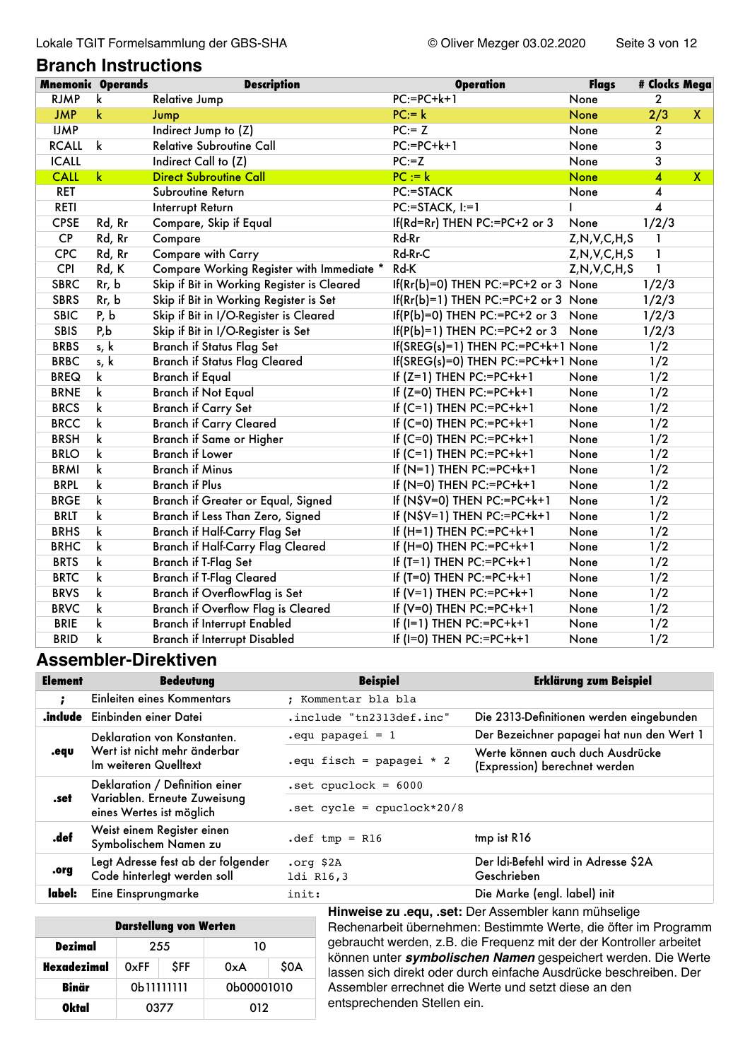**Branch Instructions**

#### **Mnemonic Operands Description Operation Flags # Clocks Mega** RJMP k Relative Jump 2 PC:=PC+k+1 None 2 JMP k Jump PC:= k None 2/3 X IJMP Indirect Jump to (Z) BC:= Z None 2 RCALL k Relative Subroutine Call **PC:=PC+k+1** None 3 ICALL Indirect Call to (Z) PC:=Z None 3 CALL k Direct Subroutine Call **PC** := k None 4 X RET Subroutine Return **PC:=STACK** None 4 RETI Interrupt Return PC:=STACK, I:=1 I 4 CPSE Rd, Rr Compare, Skip if Equal If(Rd=Rr) THEN PC:=PC+2 or 3 None 1/2/3 CP Rd, Rr Compare and the Rd-Rr and Rd-Rr and Z,N,V,C,H,S 1 CPC Rd, Rr Compare with Carry **Rd-Rr-C** Rd-Rr-C Z,N,V,C,H,S 1 CPI Rd, K Compare Working Register with Immediate \* Rd-K Z,N,V,C,H,S 1 SBRC Rr, b Skip if Bit in Working Register is Cleared If(Rr(b)=0) THEN PC:=PC+2 or 3 None 1/2/3 SBRS Rr, b Skip if Bit in Working Register is Set If(Rr(b)=1) THEN PC:=PC+2 or 3 None 1/2/3 SBIC P, b Skip if Bit in I/O-Register is Cleared If(P(b)=0) THEN PC:=PC+2 or 3 None 1/2/3 SBIS P,b Skip if Bit in I/O-Register is Set If(P(b)=1) THEN PC:=PC+2 or 3 None 1/2/3 BRBS s, k Branch if Status Flag Set If(SREG(s)=1) THEN PC:=PC+k+1 None 1/2 BRBC s, k Branch if Status Flag Cleared If(SREG(s)=0) THEN PC:=PC+k+1 None 1/2 BREQ k Branch if Equal 1/2 BRNE k Branch if Not Equal If (Z=0) THEN PC:=PC+k+1 None 1/2 BRCS k Branch if Carry Set If (C=1) THEN PC:=PC+k+1 None 1/2 BRCC k Branch if Carry Cleared If (C=0) THEN PC:=PC+k+1 None 1/2 BRSH k Branch if Same or Higher If (C=0) THEN PC:=PC+k+1 None 1/2 BRLO k Branch if Lower If (C=1) THEN PC:=PC+k+1 None 1/2 BRMI k Branch if Minus **If (N=1) THEN PC:=PC+k+1** None 1/2 BRPL k Branch if Plus **If (N=0) THEN PC:=PC+k+1** None 1/2 BRGE k Branch if Greater or Equal, Signed If (N\$V=0) THEN PC:=PC+k+1 None 1/2 BRLT k Branch if Less Than Zero, Signed If (N\$V=1) THEN PC:=PC+k+1 None 1/2 BRHS k Branch if Half-Carry Flag Set If (H=1) THEN PC:=PC+k+1 None 1/2 BRHC k Branch if Half-Carry Flag Cleared If (H=0) THEN PC:=PC+k+1 None 1/2 BRTS k Branch if T-Flag Set If (T=1) THEN PC:=PC+k+1 None 1/2 BRTC k Branch if T-Flag Cleared If (T=0) THEN PC:=PC+k+1 None 1/2 BRVS k Branch if OverflowFlag is Set If (V=1) THEN PC:=PC+k+1 None 1/2 BRVC k Branch if Overflow Flag is Cleared If (V=0) THEN PC:=PC+k+1 None 1/2 BRIE k Branch if Interrupt Enabled If (I=1) THEN PC:=PC+k+1 None 1/2 BRID k Branch if Interrupt Disabled If (I=0) THEN PC:=PC+k+1 None 1/2

#### **Assembler-Direktiven**

| Element | <b>Bedeutung</b>                                                  | <b>Beispiel</b>              | <b>Erklärung zum Beispiel</b>                                     |
|---------|-------------------------------------------------------------------|------------------------------|-------------------------------------------------------------------|
|         | Einleiten eines Kommentars                                        | : Kommentar bla bla          |                                                                   |
|         | <b>indude</b> Einbinden einer Datei                               | .include "tn2313def.inc"     | Die 2313-Definitionen werden eingebunden                          |
|         | Deklaration von Konstanten.                                       | $equ$ papagei = 1            | Der Bezeichner papagei hat nun den Wert 1                         |
| .equ    | Wert ist nicht mehr änderbar<br>Im weiteren Quelltext             | .equ fisch = papagei $*$ 2   | Werte können auch duch Ausdrücke<br>(Expression) berechnet werden |
|         | Deklaration / Definition einer                                    | $.set$ cpuclock = $6000$     |                                                                   |
| .set    | Variablen. Erneute Zuweisung<br>eines Wertes ist möglich          | $.set cycle = epuclock*20/8$ |                                                                   |
| .def    | Weist einem Register einen<br>Symbolischem Namen zu               | $det$ tmp = R16              | tmp ist R16                                                       |
| .org    | Legt Adresse fest ab der folgender<br>Code hinterlegt werden soll | .org \$2A<br>ldi R16,3       | Der Idi-Befehl wird in Adresse \$2A<br>Geschrieben                |
| label:  | Eine Einsprungmarke                                               | init:                        | Die Marke (engl. label) init                                      |

| <b>Darstellung von Werten</b> |                           |  |            |      |  |
|-------------------------------|---------------------------|--|------------|------|--|
| Dezimal                       | 255<br><b>SFF</b><br>0xFF |  | 10         |      |  |
| Hexadezimal                   |                           |  | 0xA        | \$0A |  |
| Binär                         | 0b11111111                |  | 0b00001010 |      |  |
| Oktal                         | 0377                      |  | 012        |      |  |

**Hinweise zu .equ, .set:** Der Assembler kann mühselige Rechenarbeit übernehmen: Bestimmte Werte, die öfter im Programm gebraucht werden, z.B. die Frequenz mit der der Kontroller arbeitet können unter *symbolischen Namen* gespeichert werden. Die Werte lassen sich direkt oder durch einfache Ausdrücke beschreiben. Der Assembler errechnet die Werte und setzt diese an den entsprechenden Stellen ein.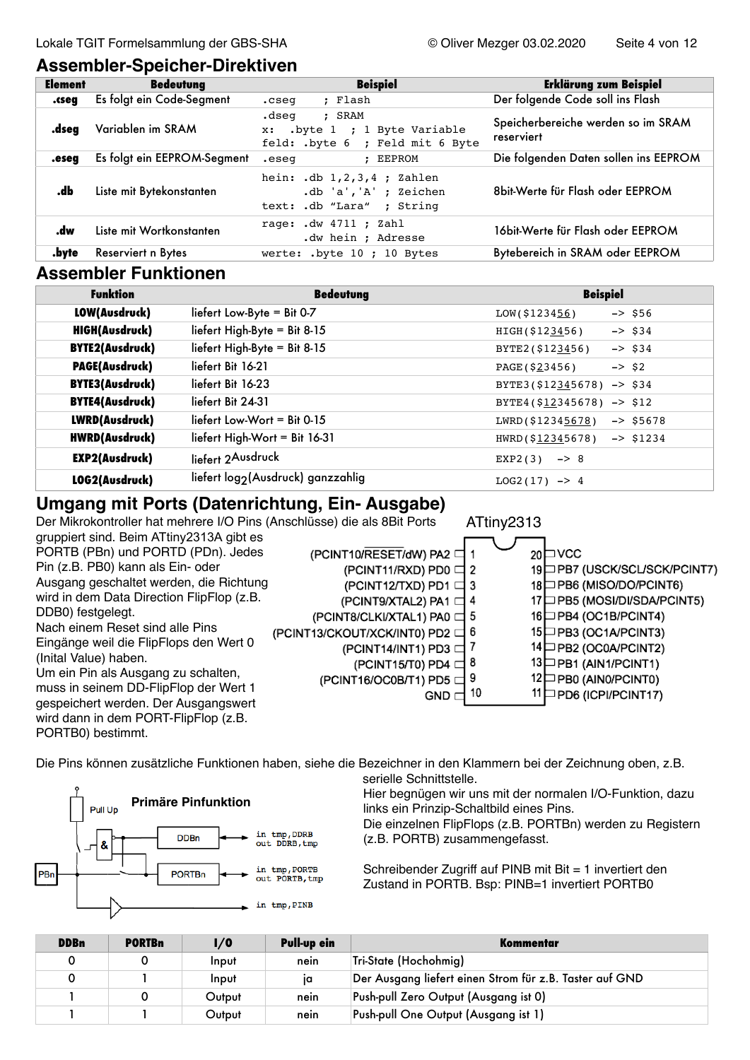### **Assembler-Speicher-Direktiven**

| <b>Element</b> | <b>Bedeutung</b>            | <b>Beispiel</b>                                                                     | <b>Erklärung zum Beispiel</b>                    |
|----------------|-----------------------------|-------------------------------------------------------------------------------------|--------------------------------------------------|
| .cseq          | Es folgt ein Code-Segment   | : Flash<br>.cseg                                                                    | Der folgende Code soll ins Flash                 |
| .dseg          | Variablen im SRAM           | .dseg<br>: SRAM<br>x: .byte 1 ; 1 Byte Variable<br>feld: .byte 6 ; Feld mit 6 Byte  | Speicherbereiche werden so im SRAM<br>reserviert |
| .eseq          | Es folgt ein EEPROM-Segment | : EEPROM<br>.eseg                                                                   | Die folgenden Daten sollen ins EEPROM            |
| .db            | Liste mit Bytekonstanten    | hein: $db$ 1,2,3,4 ; Zahlen<br>$db 'a', 'A'$ ; Zeichen<br>text: .db "Lara" ; String | 8bit-Werte für Flash oder EEPROM                 |
| .dw            | Liste mit Wortkonstanten    | rage: $dw$ 4711 ; Zahl<br>.dw hein ; Adresse                                        | 16bit-Werte für Flash oder EEPROM                |
| .byte          | Reserviert n Bytes          | werte: .byte 10 ; 10 Bytes                                                          | Bytebereich in SRAM oder EEPROM                  |

## **Assembler Funktionen**

| <b>Funktion</b>        | <b>Bedeutung</b>                  | <b>Beispiel</b>                  |
|------------------------|-----------------------------------|----------------------------------|
| LOW(Ausdruck)          | liefert Low-Byte = Bit 0-7        | $-2$ \$56<br>LOW(S123456)        |
| <b>HIGH(Ausdruck)</b>  | liefert High-Byte = Bit 8-15      | HIGH(\$123456)<br>$-$ > \$34     |
| <b>BYTE2(Ausdruck)</b> | liefert High-Byte = Bit 8-15      | BYTE2(\$123456)<br>$-$ > \$34    |
| <b>PAGE(Ausdruck)</b>  | liefert Bit 16-21                 | PAGE(\$23456)<br>$->$ \$2        |
| <b>BYTE3(Ausdruck)</b> | liefert Bit 16-23                 | BYTE3( $$12345678$ ) -> $$34$    |
| <b>BYTE4(Ausdruck)</b> | liefert Bit 24-31                 | BYTE4( $$12345678$ ) -> \$12     |
| LWRD(Ausdruck)         | liefert Low-Wort = $Bit 0.15$     | LWRD(\$12345678)<br>$-55678$     |
| <b>HWRD(Ausdruck)</b>  | liefert High-Wort = Bit $16-31$   | HWRD(\$12345678)<br>$-$ > \$1234 |
| <b>EXP2(Ausdruck)</b>  | liefert 2Ausdruck                 | $EXP2(3)$ -> 8                   |
| LOG2(Ausdruck)         | liefert log2(Ausdruck) ganzzahlig | $LOG2(17)$ -> 4                  |

# **Umgang mit Ports (Datenrichtung, Ein- Ausgabe)**

Der Mikrokontroller hat mehrere I/O Pins (Anschlüsse) die als 8Bit Ports



Die Pins können zusätzliche Funktionen haben, siehe die Bezeichner in den Klammern bei der Zeichnung oben, z.B.



PORTB0) bestimmt.

serielle Schnittstelle.

Hier begnügen wir uns mit der normalen I/O-Funktion, dazu links ein Prinzip-Schaltbild eines Pins.

Die einzelnen FlipFlops (z.B. PORTBn) werden zu Registern (z.B. PORTB) zusammengefasst.

Schreibender Zugriff auf PINB mit Bit = 1 invertiert den Zustand in PORTB. Bsp: PINB=1 invertiert PORTB0

| <b>DDBn</b> | <b>PORTBn</b> | $\frac{1}{0}$ | <b>Pull-up ein</b> | Kommentar                                               |
|-------------|---------------|---------------|--------------------|---------------------------------------------------------|
|             |               | Input         | nein               | Tri-State (Hochohmig)                                   |
|             |               | Input         | Ιa                 | Der Ausgang liefert einen Strom für z.B. Taster auf GND |
|             |               | Output        | nein               | Push-pull Zero Output (Ausgang ist 0)                   |
|             |               | Output        | nein               | Push-pull One Output (Ausgang ist 1)                    |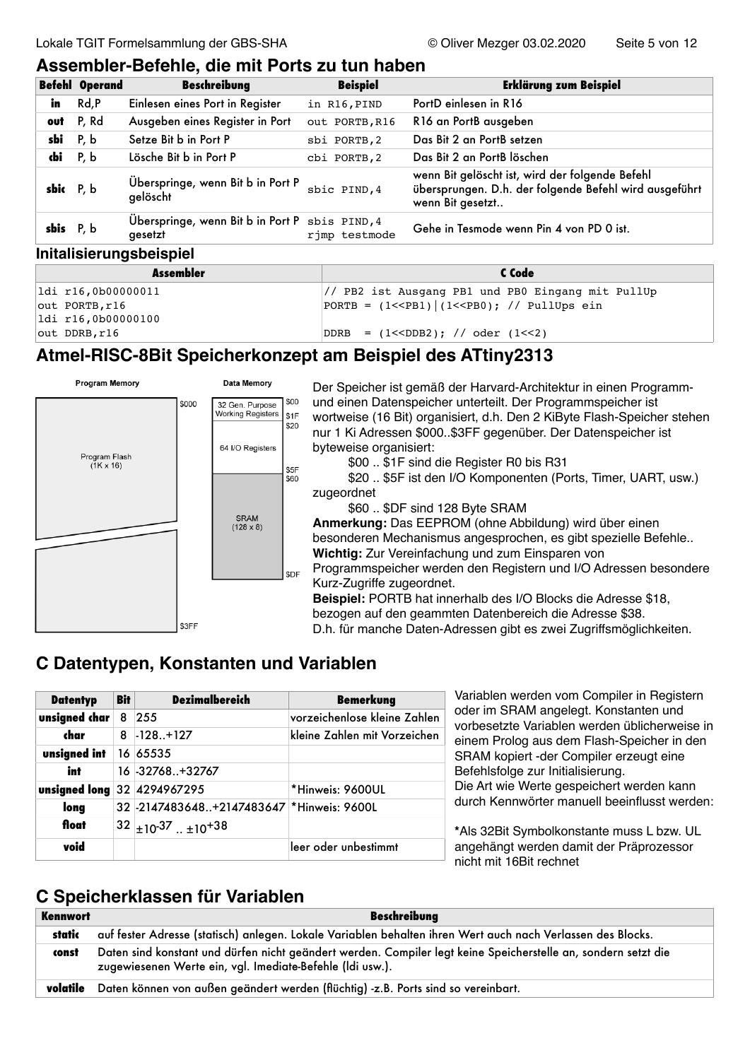# **Assembler-Befehle, die mit Ports zu tun haben**

|             | <b>Befehl Operand</b> | <b>Beschreibung</b>                                       | <b>Beispiel</b> | <b>Erklärung zum Beispiel</b>                                                                                                 |
|-------------|-----------------------|-----------------------------------------------------------|-----------------|-------------------------------------------------------------------------------------------------------------------------------|
| in          | Rd, P                 | Einlesen eines Port in Register                           | in R16, PIND    | PortD einlesen in R16                                                                                                         |
|             | out P, Rd             | Ausgeben eines Register in Port                           | out PORTB, R16  | R16 an PortB ausgeben                                                                                                         |
| $sbi$ P, b  |                       | Setze Bit b in Port P                                     | sbi PORTB, 2    | Das Bit 2 an PortB setzen                                                                                                     |
| dbi P, b    |                       | Lösche Bit b in Port P                                    | cbi PORTB, 2    | Das Bit 2 an PortB löschen                                                                                                    |
| sbic P, b   |                       | Überspringe, wenn Bit b in Port P<br>gelöscht             | sbic PIND, 4    | wenn Bit gelöscht ist, wird der folgende Befehl<br>übersprungen. D.h. der folgende Befehl wird ausgeführt<br>wenn Bit gesetzt |
| sbis $P, b$ |                       | Überspringe, wenn Bit b in Port P sbis PIND, 4<br>gesetzt | rjmp testmode   | Gehe in Tesmode wenn Pin 4 von PD 0 ist.                                                                                      |

#### **Initalisierungsbeispiel**

| <b>Assembler</b>     | C Code                                            |  |  |
|----------------------|---------------------------------------------------|--|--|
| ldi r16,0b00000011   | // PB2 ist Ausgang PB1 und PB0 Eingang mit PullUp |  |  |
| $out$ PORTB, $r16$   | PORTB = $(1<$ PB1) $ (1<$ PB0); // PullUps ein    |  |  |
| $ldi$ r16,0b00000100 |                                                   |  |  |
| $out$ DDRB, $r16$    | $DDRB = (1$                                       |  |  |

# **Atmel-RISC-8Bit Speicherkonzept am Beispiel des ATtiny2313**



Der Speicher ist gemäß der Harvard-Architektur in einen Programmund einen Datenspeicher unterteilt. Der Programmspeicher ist wortweise (16 Bit) organisiert, d.h. Den 2 KiByte Flash-Speicher stehen nur 1 Ki Adressen \$000..\$3FF gegenüber. Der Datenspeicher ist byteweise organisiert:

\$00 .. \$1F sind die Register R0 bis R31

\$20 .. \$5F ist den I/O Komponenten (Ports, Timer, UART, usw.) zugeordnet

\$60 .. \$DF sind 128 Byte SRAM

**Anmerkung:** Das EEPROM (ohne Abbildung) wird über einen besonderen Mechanismus angesprochen, es gibt spezielle Befehle.. **Wichtig:** Zur Vereinfachung und zum Einsparen von Programmspeicher werden den Registern und I/O Adressen besondere Kurz-Zugriffe zugeordnet.

**Beispiel:** PORTB hat innerhalb des I/O Blocks die Adresse \$18, bezogen auf den geammten Datenbereich die Adresse \$38. D.h. für manche Daten-Adressen gibt es zwei Zugriffsmöglichkeiten.

# **C Datentypen, Konstanten und Variablen**

| <b>Datentyp</b>             | <b>Bit</b> | <b>Dezimalbereich</b>                     | <b>Bemerkung</b>             | Variablen               |
|-----------------------------|------------|-------------------------------------------|------------------------------|-------------------------|
| unsigned char 8 255         |            |                                           | vorzeichenlose kleine Zahlen | oder im S<br>vorbesetz  |
| char                        |            | $8$ -128+127                              | kleine Zahlen mit Vorzeichen | einem Pro               |
| unsigned int $16 65535$     |            |                                           |                              | <b>SRAM</b> ko          |
| int                         |            | 16 - 32768 + 32767                        |                              | <b>Befehlsfol</b>       |
| unsigned long 32 4294967295 |            |                                           | *Hinweis: 9600UL             | Die Art wie             |
| long                        |            | 32 -2147483648+2147483647 *Hinweis: 9600L |                              | durch Ker               |
| float                       |            | $32 _{\pm 10^{-37} \dots \pm 10^{+38}}$   |                              | *Als 32Bit              |
| void                        |            |                                           | leer oder unbestimmt         | angehäng<br>nioht mit 1 |

werden vom Compiler in Registern RAM angelegt. Konstanten und te Variablen werden üblicherweise in blog aus dem Flash-Speicher in den piert -der Compiler erzeugt eine lge zur Initialisierung. e Werte gespeichert werden kann inwörter manuell beeinflusst werden:

Symbolkonstante muss L bzw. UL t werden damit der Präprozessor nicht mit 16Bit rechnet

# **C Speicherklassen für Variablen**

| Kennwort | <b>Beschreibung</b>                                                                                                                                                         |
|----------|-----------------------------------------------------------------------------------------------------------------------------------------------------------------------------|
| static   | auf fester Adresse (statisch) anlegen. Lokale Variablen behalten ihren Wert auch nach Verlassen des Blocks.                                                                 |
| const    | Daten sind konstant und dürfen nicht geändert werden. Compiler legt keine Speicherstelle an, sondern setzt die<br>zugewiesenen Werte ein, vgl. Imediate-Befehle (Idi usw.). |
| volatile | Daten können von außen geändert werden (flüchtig) -z.B. Ports sind so vereinbart.                                                                                           |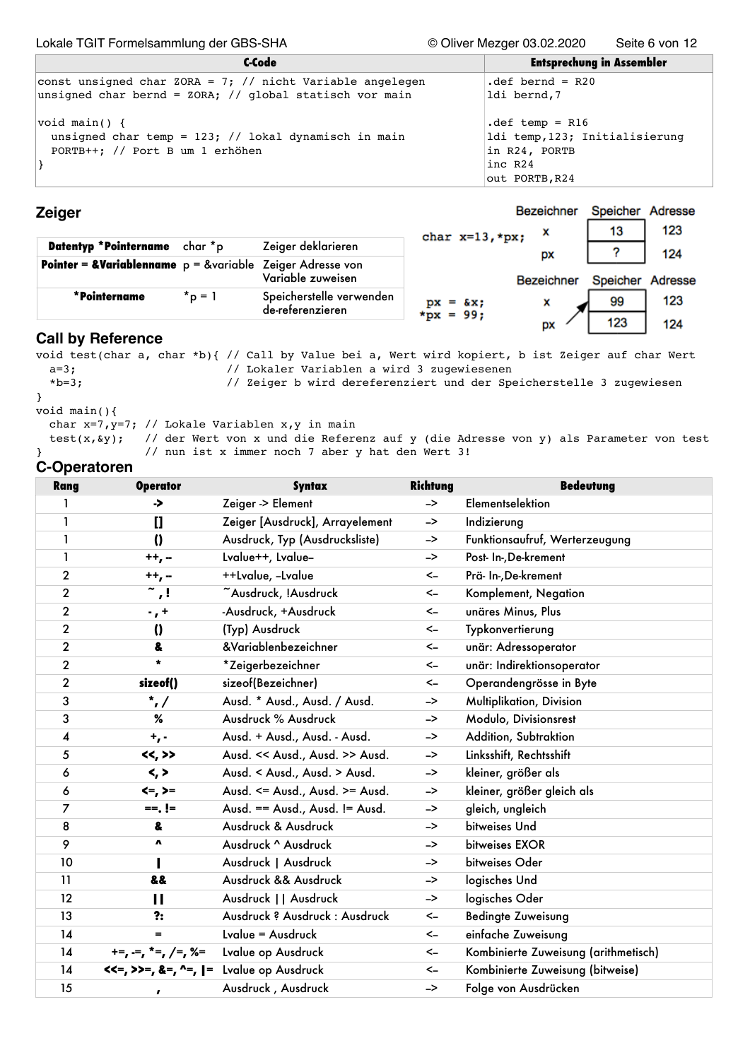Lokale TGIT Formelsammlung der GBS-SHA © Oliver Mezger 03.02.2020 Seite 6 von 12

| C-Code                                                                                                                  | <b>Entsprechung in Assembler</b>                                                                                |
|-------------------------------------------------------------------------------------------------------------------------|-----------------------------------------------------------------------------------------------------------------|
| const unsigned char ZORA = $7$ ; // nicht Variable angelegen<br>unsigned char bernd = ZORA; // global statisch vor main | $det \text{bernd} = R20$<br>ldi bernd,7                                                                         |
| $\forall$ oid main() {<br>unsigned char temp = $123$ ; // lokal dynamisch in main<br>PORTB++; // Port B um 1 erhöhen    | $\text{def } \text{temp} = R16$<br>ldi temp, 123; Initialisierung<br>in R24, PORTB<br>inc R24<br>out PORTB, R24 |

#### **Zeiger**

Bezeichner Speicher Adresse 123 13 X char  $x=13$ , \*px;

| Datentyp *Pointername                                                  | char *p     | Zeiger deklarieren                           | GHAI A-IS, DAI          | рx         |          | 124     |
|------------------------------------------------------------------------|-------------|----------------------------------------------|-------------------------|------------|----------|---------|
| <b>Pointer = &amp;Variablenname</b> $p =$ &variable Zeiger Adresse von |             | Variable zuweisen                            |                         | Bezeichner | Speicher | Adresse |
| *Pointername                                                           | $*_{p} = 1$ | Speicherstelle verwenden<br>de-referenzieren | $px = 8x;$<br>*px = 99; |            | 99       | 123     |
|                                                                        |             |                                              |                         | DX         | 123      | 124     |

## **Call by Reference**

void test(char a, char \*b){ // Call by Value bei a, Wert wird kopiert, b ist Zeiger auf char Wert a=3;  $\frac{1}{2}$  // Lokaler Variablen a wird 3 zugewiesenen<br>\*b=3; // Zeiger b wird dereferenziert und der Spe // Zeiger b wird dereferenziert und der Speicherstelle 3 zugewiesen }

void main(){ char x=7,y=7; // Lokale Variablen x,y in main

test(x,  $\frac{1}{2}$ ); // der Wert von x und die Referenz auf y (die Adresse von y) als Parameter von test } // nun ist x immer noch 7 aber y hat den Wert 3!

#### **C-Operatoren**

| <b>Rang</b>             | <b>Operator</b>             | <b>Syntax</b>                   | Richtung      | <b>Bedeutung</b>                     |
|-------------------------|-----------------------------|---------------------------------|---------------|--------------------------------------|
| 1                       | ->                          | Zeiger -> Element               | $\rightarrow$ | Elementselektion                     |
| $\mathbf{1}$            | $\mathbf{I}$                | Zeiger [Ausdruck], Arrayelement | ->            | Indizierung                          |
| $\mathbf{1}$            | $\boldsymbol{0}$            | Ausdruck, Typ (Ausdrucksliste)  | ->            | Funktionsaufruf, Werterzeugung       |
| $\mathbf{1}$            | $++,-$                      | Lvalue++, Lvalue-               | ->            | Post- In-, De-krement                |
| $\mathbf 2$             | $++,-$                      | ++Lvalue, -Lvalue               | $\leftarrow$  | Prä- In-, De-krement                 |
| $\overline{\mathbf{c}}$ | $\tilde{\phantom{a}}$ ,!    | ~Ausdruck, !Ausdruck            | $\leftarrow$  | Komplement, Negation                 |
| $\mathbf 2$             | $\cdot$ , +                 | -Ausdruck, +Ausdruck            | $\leftarrow$  | unäres Minus, Plus                   |
| $\overline{\mathbf{c}}$ | $\boldsymbol{\theta}$       | (Typ) Ausdruck                  | $\leftarrow$  | Typkonvertierung                     |
| $\mathbf 2$             | 8                           | &Variablenbezeichner            | $\leftarrow$  | unär: Adressoperator                 |
| $\mathbf 2$             | $\star$                     | *Zeigerbezeichner               | $\leftarrow$  | unär: Indirektionsoperator           |
| $\mathbf 2$             | sizeof()                    | sizeof(Bezeichner)              | $\leftarrow$  | Operandengrösse in Byte              |
| 3                       | $^{\star}$ , /              | Ausd. * Ausd., Ausd. / Ausd.    | ->            | Multiplikation, Division             |
| 3                       | %                           | Ausdruck % Ausdruck             | ->            | Modulo, Divisionsrest                |
| 4                       | $+$ , -                     | Ausd. + Ausd., Ausd. - Ausd.    | ->            | Addition, Subtraktion                |
| 5                       | <<,>>                       | Ausd. << Ausd., Ausd. >> Ausd.  | ->            | Linksshift, Rechtsshift              |
| 6                       | $\langle , \rangle$         | Ausd. < Ausd., Ausd. > Ausd.    | ->            | kleiner, größer als                  |
| 6                       | $\leftarrow, \leftarrow$    | Ausd. <= Ausd., Ausd. >= Ausd.  | ->            | kleiner, größer gleich als           |
| 7                       | $==$ , $!=$                 | Ausd. == Ausd., Ausd. != Ausd.  | ->            | gleich, ungleich                     |
| 8                       | &                           | Ausdruck & Ausdruck             | ->            | bitweises Und                        |
| 9                       | V                           | Ausdruck ^ Ausdruck             | ->            | bitweises EXOR                       |
| 10                      |                             | Ausdruck   Ausdruck             | ->            | bitweises Oder                       |
| 11                      | 88                          | Ausdruck && Ausdruck            | ->            | logisches Und                        |
| 12                      | П                           | Ausdruck     Ausdruck           | ->            | logisches Oder                       |
| 13                      | ?:                          | Ausdruck ? Ausdruck : Ausdruck  | $\leftarrow$  | <b>Bedingte Zuweisung</b>            |
| 14                      | $=$                         | Lvalue = Ausdruck               | $\leftarrow$  | einfache Zuweisung                   |
| 14                      | $+=, =, *=, /=, % =$        | Lvalue op Ausdruck              | $\leftarrow$  | Kombinierte Zuweisung (arithmetisch) |
| 14                      | $\lt\lt=$ , >>=, &=, ^=,  = | Lvalue op Ausdruck              | $\leftarrow$  | Kombinierte Zuweisung (bitweise)     |
| 15                      | $\pmb{r}$                   | Ausdruck, Ausdruck              | ->            | Folge von Ausdrücken                 |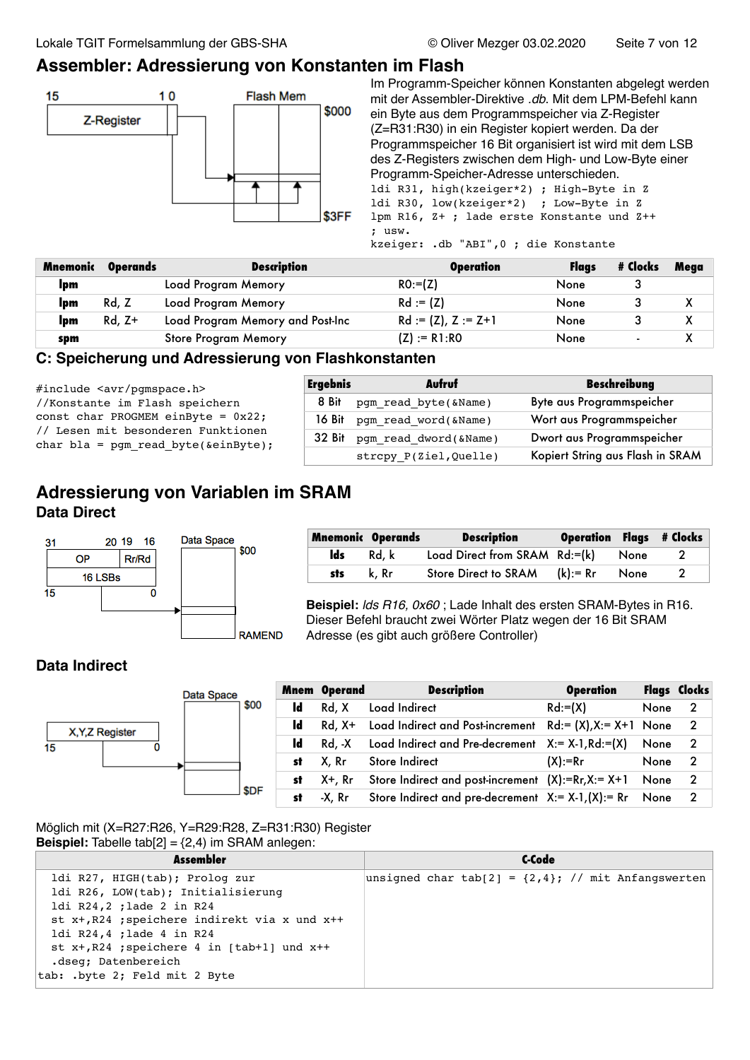# **Assembler: Adressierung von Konstanten im Flash**



Im Programm-Speicher können Konstanten abgelegt werden mit der Assembler-Direktive *.db*. Mit dem LPM-Befehl kann ein Byte aus dem Programmspeicher via Z-Register (Z=R31:R30) in ein Register kopiert werden. Da der Programmspeicher 16 Bit organisiert ist wird mit dem LSB des Z-Registers zwischen dem High- und Low-Byte einer Programm-Speicher-Adresse unterschieden.

ldi R31, high(kzeiger\*2) ; High-Byte in Z ldi R30, low(kzeiger\*2) ; Low-Byte in Z lpm R16, Z+ ; lade erste Konstante und Z++ ; usw.

kzeiger: .db "ABI",0 ; die Konstante

| Mnemonic | <b>Operands</b> | <b>Description</b>               | <b>Operation</b>      | <b>Flaas</b> | # Clocks       | Mega |
|----------|-----------------|----------------------------------|-----------------------|--------------|----------------|------|
| Ipm      |                 | Load Program Memory              | $RO:=Z)$              | None         |                |      |
| Ipm      | Rd, Z           | Load Program Memory              | $Rd := (Z)$           | None         |                |      |
| Ipm      | Rd, Z+          | Load Program Memory and Post-Inc | $Rd := (Z), Z := Z+1$ | None         |                |      |
| spm      |                 | <b>Store Program Memory</b>      | $(Z) := R1:RO$        | None         | $\blacksquare$ |      |

### **C: Speicherung und Adressierung von Flashkonstanten**

| $\#include$ $\langle$ avr/pqmspace.h>          |
|------------------------------------------------|
| //Konstante im Flash speichern                 |
| const char PROGMEM einByte = $0x22$ ;          |
| // Lesen mit besonderen Funktionen             |
| char bla = pqm read byte( $\text{scinByte}$ ); |
|                                                |

| <b>Ergebnis</b> | Aufruf                      | <b>Beschreibung</b>              |
|-----------------|-----------------------------|----------------------------------|
| 8 Bit           | pgm read byte(&Name)        | Byte aus Programmspeicher        |
|                 | 16 Bit pgm read word(&Name) | Wort aus Programmspeicher        |
| 32 Bit          | pgm read dword(&Name)       | Dwort aus Programmspeicher       |
|                 | strcpy P(Ziel, Quelle)      | Kopiert String aus Flash in SRAM |

# **Adressierung von Variablen im SRAM Data Direct**



|     | <b>Mnemonic Operands</b> | <b>Description</b>               | <b>Operation Flags # Clocks</b> |      |  |
|-----|--------------------------|----------------------------------|---------------------------------|------|--|
| lds | Rd. k                    | Load Direct from SRAM Rd:=(k)    |                                 | None |  |
| sts | k. Rr                    | Store Direct to SRAM $(k) := Rr$ |                                 | None |  |

**Beispiel:** *lds R16, 0x60* ; Lade Inhalt des ersten SRAM-Bytes in R16. Dieser Befehl braucht zwei Wörter Platz wegen der 16 Bit SRAM Adresse (es gibt auch größere Controller)

## **Data Indirect**



Möglich mit (X=R27:R26, Y=R29:R28, Z=R31:R30) Register **Beispiel:** Tabelle  $tab[2] = {2, 4}$  im SRAM anlegen:

| ldi R27, HIGH(tab); Prolog zur                                                                                                                                                                                      | Assembler                          | C-Code                                                  |
|---------------------------------------------------------------------------------------------------------------------------------------------------------------------------------------------------------------------|------------------------------------|---------------------------------------------------------|
| ldi R24,2 ; lade 2 in R24<br>st x+, R24 ; speichere indirekt via x und x++<br>ldi R24,4 ; lade 4 in R24<br>st $x+$ , R24 ; speichere 4 in [tab+1] und $x++$<br>.dseq; Datenbereich<br>tab: .byte 2; Feld mit 2 Byte | ldi R26, LOW(tab); Initialisierung | unsigned char tab[2] = $\{2,4\}$ ; // mit Anfangswerten |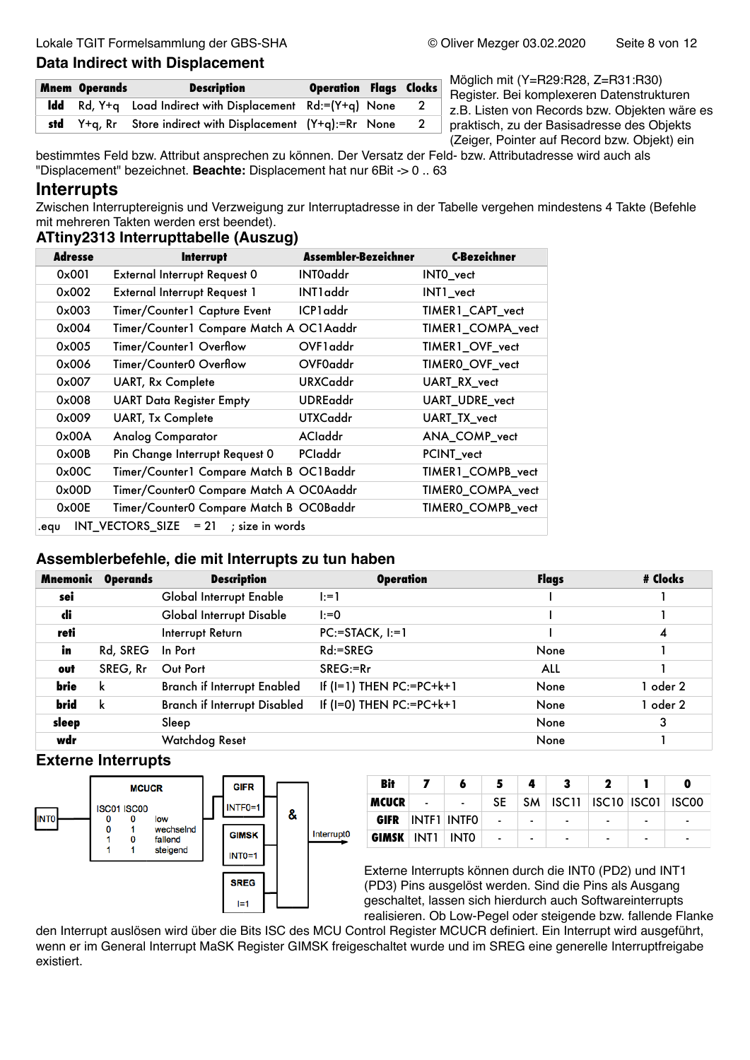# **Data Indirect with Displacement**

| <b>Mnem Operands</b> | <b>Description</b>                                                           | <b>Operation Flags Clocks</b> |                |
|----------------------|------------------------------------------------------------------------------|-------------------------------|----------------|
|                      | <b>Idd</b> Rd, Y+q Load Indirect with Displacement Rd:=(Y+q) None            |                               | $\overline{2}$ |
|                      | <b>std</b> $Y + q$ , Rr Store indirect with Displacement $(Y + q)$ :=Rr None |                               | $\mathbf{2}$   |

Möglich mit (Y=R29:R28, Z=R31:R30) Register. Bei komplexeren Datenstrukturen z.B. Listen von Records bzw. Objekten wäre es praktisch, zu der Basisadresse des Objekts (Zeiger, Pointer auf Record bzw. Objekt) ein

bestimmtes Feld bzw. Attribut ansprechen zu können. Der Versatz der Feld- bzw. Attributadresse wird auch als "Displacement" bezeichnet. **Beachte:** Displacement hat nur 6Bit -> 0 .. 63

## **Interrupts**

Zwischen Interruptereignis und Verzweigung zur Interruptadresse in der Tabelle vergehen mindestens 4 Takte (Befehle mit mehreren Takten werden erst beendet).

#### **ATtiny2313 Interrupttabelle (Auszug)**

| <b>Adresse</b> | <b>Interrupt</b>                        | Assembler-Bezeichner | <b>C-Bezeichner</b> |
|----------------|-----------------------------------------|----------------------|---------------------|
| 0x001          | <b>External Interrupt Request 0</b>     | <b>INTOaddr</b>      | INTO_vect           |
| $0 \times 002$ | <b>External Interrupt Request 1</b>     | INT1 addr            | INT1 vect           |
| $0 \times 003$ | Timer/Counter1 Capture Event            | ICP1 addr            | TIMER1_CAPT_vect    |
| $0 \times 004$ | Timer/Counter1 Compare Match A OC1Aaddr |                      | TIMER1_COMPA_vect   |
| $0 \times 005$ | Timer/Counter1 Overflow                 | OVF1 addr            | TIMER1_OVF_vect     |
| 0x006          | Timer/Counter0 Overflow                 | OVF0addr             | TIMER0_OVF_vect     |
| 0x007          | <b>UART, Rx Complete</b>                | <b>URXCaddr</b>      | UART RX vect        |
| $0 \times 008$ | <b>UART Data Register Empty</b>         | <b>UDREaddr</b>      | UART_UDRE_vect      |
| 0x009          | <b>UART, Tx Complete</b>                | <b>UTXCaddr</b>      | UART_TX_vect        |
| 0x00A          | <b>Analog Comparator</b>                | <b>ACladdr</b>       | ANA_COMP_vect       |
| $0 \times 00B$ | Pin Change Interrupt Request 0          | PCladdr              | PCINT_vect          |
| 0x00C          | Timer/Counter1 Compare Match B OC1Baddr |                      | TIMER1_COMPB_vect   |
| 0x00D          | Timer/Counter0 Compare Match A OC0Aaddr |                      | TIMERO_COMPA_vect   |
| $0 \times 00E$ | Timer/Counter0 Compare Match B OC0Baddr |                      | TIMERO_COMPB_vect   |
| .equ           | $INT_VECTORS_SIZE = 21$ ; size in words |                      |                     |

#### **Assemblerbefehle, die mit Interrupts zu tun haben**

| Mnemonic | <b>Operands</b> | <b>Description</b>                 | <b>Operation</b>              | Flags | # Clocks |
|----------|-----------------|------------------------------------|-------------------------------|-------|----------|
| sei      |                 | Global Interrupt Enable            | $1: = 1$                      |       |          |
| di       |                 | Global Interrupt Disable           | $I: = 0$                      |       |          |
| reti     |                 | Interrupt Return                   | $PC: = STATEK, I:=1$          |       | 4        |
| in       | Rd, SREG        | In Port                            | $Rd:=$ SREG                   | None  |          |
| out      | SREG, Rr        | Out Port                           | $SREG = Rr$                   | ALL   |          |
| brie     | k               | <b>Branch if Interrupt Enabled</b> | If $(I=1)$ THEN PC:=PC+ $k+1$ | None  | 1 oder 2 |
| brid     | k               | Branch if Interrupt Disabled       | If (I=0) THEN $PC:=PC+k+1$    | None  | 1 oder 2 |
| sleep    |                 | Sleep                              |                               | None  | 3        |
| wdr      |                 | Watchdog Reset                     |                               | None  |          |

# **Externe Interrupts**



| Bit                    |                | 6           | 5                |                | 3                                  | 2                        |                          |                          |
|------------------------|----------------|-------------|------------------|----------------|------------------------------------|--------------------------|--------------------------|--------------------------|
| <b>MCUCR</b>           | $\blacksquare$ | the company | -SE              |                | SM   ISC11   ISC10   ISC01   ISC00 |                          |                          |                          |
| GIFR                   |                | INTE1 INTFO | $\sim$ 100 $\pm$ | $\blacksquare$ | $\blacksquare$                     | $\overline{\phantom{0}}$ | $\overline{\phantom{0}}$ | $\overline{\phantom{0}}$ |
| <b>GIMSK</b> INT1 INT0 |                |             | $\sim$ $\sim$    | $\blacksquare$ | $\blacksquare$                     | $\blacksquare$           | -                        | $\blacksquare$           |

Externe Interrupts können durch die INT0 (PD2) und INT1 (PD3) Pins ausgelöst werden. Sind die Pins als Ausgang geschaltet, lassen sich hierdurch auch Softwareinterrupts realisieren. Ob Low-Pegel oder steigende bzw. fallende Flanke

den Interrupt auslösen wird über die Bits ISC des MCU Control Register MCUCR definiert. Ein Interrupt wird ausgeführt, wenn er im General Interrupt MaSK Register GIMSK freigeschaltet wurde und im SREG eine generelle Interruptfreigabe existiert.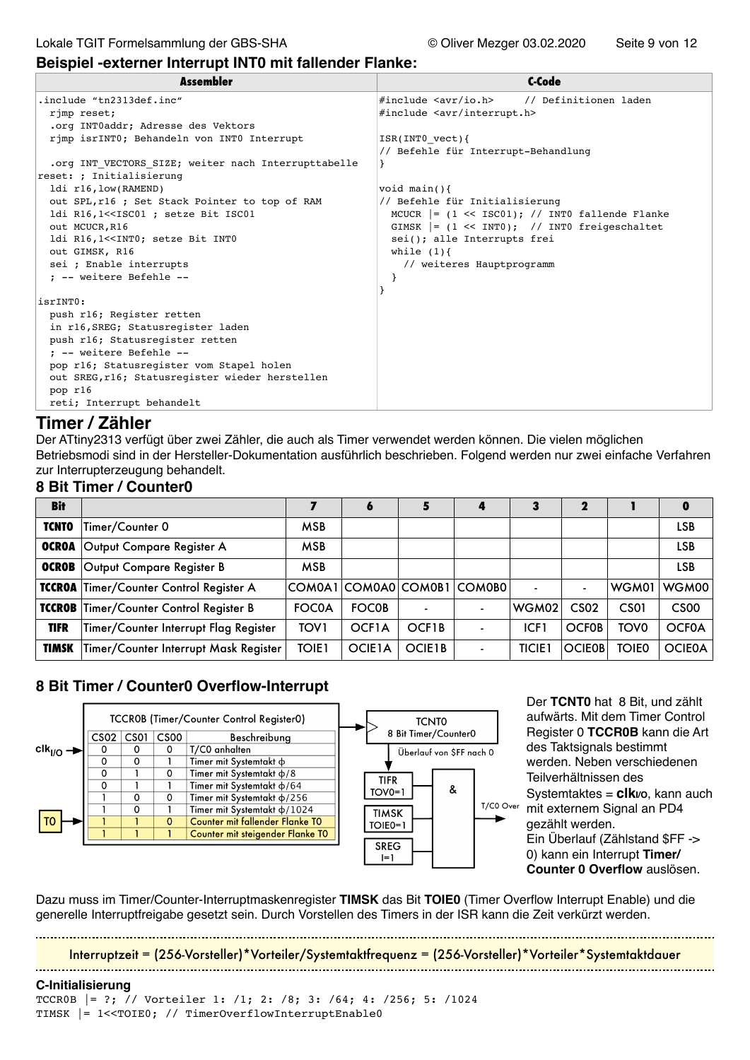#### **Beispiel -externer Interrupt INT0 mit fallender Flanke:**

| Assembler                                                                                                                                | C-Code                                                 |
|------------------------------------------------------------------------------------------------------------------------------------------|--------------------------------------------------------|
| .include "tn2313def.inc"                                                                                                                 | #include <avr io.h=""><br/>// Definitionen laden</avr> |
| rjmp reset;                                                                                                                              | #include <avr interrupt.h=""></avr>                    |
| .org INTOaddr; Adresse des Vektors                                                                                                       |                                                        |
| rimp isrINTO; Behandeln von INTO Interrupt                                                                                               | ISR(INT0 vect)                                         |
|                                                                                                                                          | // Befehle für Interrupt-Behandlung                    |
| .org INT VECTORS SIZE; weiter nach Interrupttabelle                                                                                      |                                                        |
| reset: ; Initialisierung                                                                                                                 |                                                        |
| ldi r16, low(RAMEND)                                                                                                                     | void $main()$                                          |
| out SPL, r16 ; Set Stack Pointer to top of RAM                                                                                           | // Befehle für Initialisierung                         |
| ldi R16,1< <isc01 ;="" bit="" isc01<="" setze="" td=""><td>MCUCR <math>=</math> (1 &lt;&lt; ISC01); // INTO fallende Flanke</td></isc01> | MCUCR $=$ (1 << ISC01); // INTO fallende Flanke        |
| out MCUCR, R16                                                                                                                           | GIMSK $= (1 \ll \text{INT0})$ ; // INTO freigeschaltet |
| ldi R16,1< <int0; bit="" int0<="" setze="" td=""><td>sei(); alle Interrupts frei</td></int0;>                                            | sei(); alle Interrupts frei                            |
| out GIMSK, R16                                                                                                                           | while $(1)$ {                                          |
| sei ; Enable interrupts                                                                                                                  | // weiteres Hauptprogramm                              |
| : -- weitere Befehle --                                                                                                                  |                                                        |
|                                                                                                                                          |                                                        |
| isrINT0:                                                                                                                                 |                                                        |
| push r16; Register retten                                                                                                                |                                                        |
| in r16, SREG; Statusregister laden                                                                                                       |                                                        |
| push r16; Statusregister retten                                                                                                          |                                                        |
| : -- weitere Befehle --                                                                                                                  |                                                        |
| pop r16; Statusregister vom Stapel holen                                                                                                 |                                                        |
| out SREG, r16; Statusregister wieder herstellen                                                                                          |                                                        |
| pop r16                                                                                                                                  |                                                        |
| reti; Interrupt behandelt                                                                                                                |                                                        |
|                                                                                                                                          |                                                        |

## **Timer / Zähler**

Der ATtiny2313 verfügt über zwei Zähler, die auch als Timer verwendet werden können. Die vielen möglichen Betriebsmodi sind in der Hersteller-Dokumentation ausführlich beschrieben. Folgend werden nur zwei einfache Verfahren zur Interrupterzeugung behandelt.

#### **8 Bit Timer / Counter0**

| <b>Bit</b>    |                                       |              | $\ddot{\mathbf{a}}$  |                     |        | 3             |                  |              | 0                |
|---------------|---------------------------------------|--------------|----------------------|---------------------|--------|---------------|------------------|--------------|------------------|
| <b>TCNTO</b>  | Timer/Counter 0                       | <b>MSB</b>   |                      |                     |        |               |                  |              | <b>LSB</b>       |
| <b>OCROA</b>  | Output Compare Register A             | <b>MSB</b>   |                      |                     |        |               |                  |              | <b>LSB</b>       |
| <b>OCROB</b>  | Output Compare Register B             | <b>MSB</b>   |                      |                     |        |               |                  |              | <b>LSB</b>       |
| <b>TCCROA</b> | Timer/Counter Control Register A      |              | COM0A1 COM0A0 COM0B1 |                     | COM0B0 |               | $\blacksquare$   | WGM01        | WGM00            |
| <b>TCCROB</b> | Timer/Counter Control Register B      | <b>FOC0A</b> | <b>FOC0B</b>         |                     |        | WGM02         | CS <sub>02</sub> | CS01         | CS <sub>00</sub> |
| <b>TIFR</b>   | Timer/Counter Interrupt Flag Register | <b>TOV1</b>  | OCF <sub>1</sub> A   | OCF1B               |        | ICF1          | <b>OCFOB</b>     | <b>TOVO</b>  | <b>OCF0A</b>     |
| <b>TIMSK</b>  | Timer/Counter Interrupt Mask Register | <b>TOIE1</b> | OCIE1A               | OCIE <sub>1</sub> B |        | <b>TICIE1</b> | <b>OCIE0B</b>    | <b>TOIE0</b> | <b>OCIE0A</b>    |

#### **8 Bit Timer / Counter0 Overflow-Interrupt**



Der **TCNT0** hat 8 Bit, und zählt aufwärts. Mit dem Timer Control Register 0 **TCCR0B** kann die Art des Taktsignals bestimmt werden. Neben verschiedenen Teilverhältnissen des Systemtaktes = **clk**vo, kann auch mit externem Signal an PD4 gezählt werden. Ein Überlauf (Zählstand \$FF -> 0) kann ein Interrupt **Timer/ Counter 0 Overflow** auslösen.

Dazu muss im Timer/Counter-Interruptmaskenregister **TIMSK** das Bit **TOIE0** (Timer Overflow Interrupt Enable) und die generelle Interruptfreigabe gesetzt sein. Durch Vorstellen des Timers in der ISR kann die Zeit verkürzt werden.

Interruptzeit = (256-Vorsteller)\*Vorteiler/Systemtaktfrequenz = (256-Vorsteller)\*Vorteiler\*Systemtaktdauer

#### **C-Initialisierung**

TCCR0B |= ?; // Vorteiler 1: /1; 2: /8; 3: /64; 4: /256; 5: /1024 TIMSK |= 1<<TOIE0; // TimerOverflowInterruptEnable0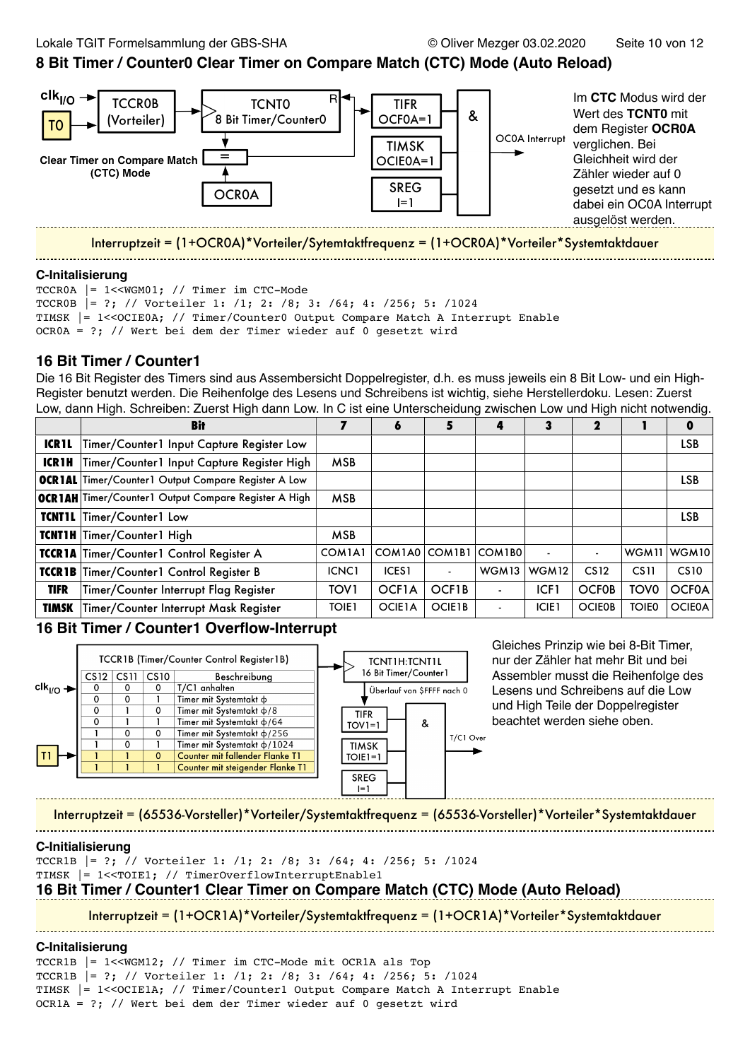## **8 Bit Timer / Counter0 Clear Timer on Compare Match (CTC) Mode (Auto Reload)**



Interruptzeit = (1+OCR0A)\*Vorteiler/Sytemtaktfrequenz = (1+OCR0A)\*Vorteiler\*Systemtaktdauer 

#### **C-Initalisierung**

TCCR0A |= 1<<WGM01; // Timer im CTC-Mode TCCR0B |= ?; // Vorteiler 1: /1; 2: /8; 3: /64; 4: /256; 5: /1024 TIMSK |= 1<<OCIE0A; // Timer/Counter0 Output Compare Match A Interrupt Enable OCR0A = ?; // Wert bei dem der Timer wieder auf 0 gesetzt wird

# **16 Bit Timer / Counter1**

Die 16 Bit Register des Timers sind aus Assembersicht Doppelregister, d.h. es muss jeweils ein 8 Bit Low- und ein High-Register benutzt werden. Die Reihenfolge des Lesens und Schreibens ist wichtig, siehe Herstellerdoku. Lesen: Zuerst Low, dann High. Schreiben: Zuerst High dann Low. In C ist eine Unterscheidung zwischen Low und High nicht notwendig.

|              | Bit                                                        |                                 | 6             | 5             | 4                 | 3              | 2                |                  | O                |
|--------------|------------------------------------------------------------|---------------------------------|---------------|---------------|-------------------|----------------|------------------|------------------|------------------|
| <b>ICR1L</b> | Timer/Counter1 Input Capture Register Low                  |                                 |               |               |                   |                |                  |                  | <b>LSB</b>       |
| <b>ICR1H</b> | Timer/Counter1 Input Capture Register High                 | <b>MSB</b>                      |               |               |                   |                |                  |                  |                  |
|              | <b>OCRIAL</b> Timer/Counter1 Output Compare Register A Low |                                 |               |               |                   |                |                  |                  | LSB              |
|              | OCR 1AH Timer/Counter1 Output Compare Register A High      |                                 |               |               |                   |                |                  |                  |                  |
|              | TCNTIL Timer/Counter1 Low                                  |                                 |               |               |                   |                |                  |                  | <b>LSB</b>       |
|              | TCNT1H Timer/Counter1 High                                 | <b>MSB</b>                      |               |               |                   |                |                  |                  |                  |
|              | TCCR1A Timer/Counter1 Control Register A                   | COM <sub>1</sub> A <sub>1</sub> | COM1A0        | COM1B1        | COM1B0            | $\blacksquare$ |                  |                  | WGM11 WGM10      |
|              | TCCR1B Timer/Counter1 Control Register B                   | ICNC <sub>1</sub>               | <b>ICES1</b>  |               | WGM <sub>13</sub> | WGM12          | CS <sub>12</sub> | CS <sub>11</sub> | CS <sub>10</sub> |
| <b>TIFR</b>  | Timer/Counter Interrupt Flag Register                      | TOV <sub>1</sub>                | OCF1A         | OCF1B         |                   | ICF1           | <b>OCFOB</b>     | TOV <sub>0</sub> | <b>OCF0A</b>     |
| TIMSK        | Timer/Counter Interrupt Mask Register                      | <b>TOIE1</b>                    | <b>OCIE1A</b> | <b>OCIE1B</b> |                   | <b>ICIE1</b>   | <b>OCIE0B</b>    | <b>TOIE0</b>     | <b>OCIE0A</b>    |

# **16 Bit Timer / Counter1 Overflow-Interrupt**



Gleiches Prinzip wie bei 8-Bit Timer, nur der Zähler hat mehr Bit und bei Assembler musst die Reihenfolge des Lesens und Schreibens auf die Low und High Teile der Doppelregister beachtet werden siehe oben.

Interruptzeit = (65536-Vorsteller)\*Vorteiler/Systemtaktfrequenz = (65536-Vorsteller)\*Vorteiler\*Systemtaktdauer

#### **C-Initialisierung**

TCCR1B |= ?; // Vorteiler 1: /1; 2: /8; 3: /64; 4: /256; 5: /1024 TIMSK |= 1<<TOIE1; // TimerOverflowInterruptEnable1

# **16 Bit Timer / Counter1 Clear Timer on Compare Match (CTC) Mode (Auto Reload)**

Interruptzeit = (1+OCR1A)\*Vorteiler/Systemtaktfrequenz = (1+OCR1A)\*Vorteiler\*Systemtaktdauer 

#### **C-Initalisierung**

TCCR1B |= 1<<WGM12; // Timer im CTC-Mode mit OCR1A als Top TCCR1B |= ?; // Vorteiler 1: /1; 2: /8; 3: /64; 4: /256; 5: /1024 TIMSK |= 1<<OCIE1A; // Timer/Counter1 Output Compare Match A Interrupt Enable OCR1A = ?; // Wert bei dem der Timer wieder auf 0 gesetzt wird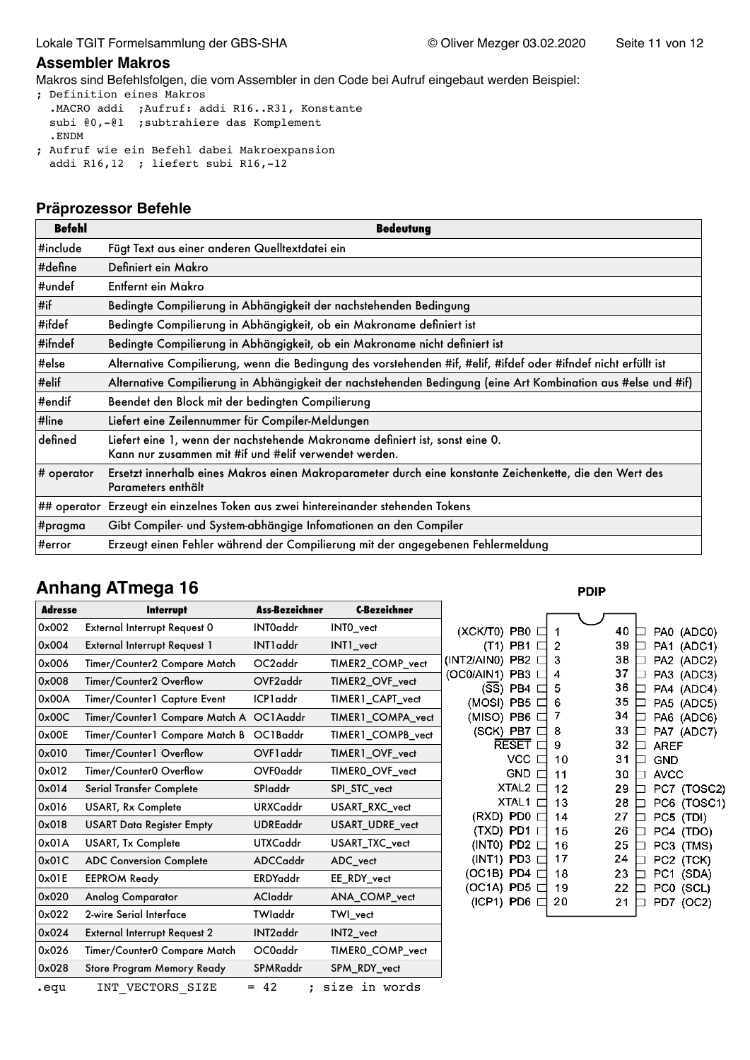#### **Assembler Makros**

Makros sind Befehlsfolgen, die vom Assembler in den Code bei Aufruf eingebaut werden Beispiel:

- ; Definition eines Makros .MACRO addi ;Aufruf: addi R16..R31, Konstante subi @0,-@1 ;subtrahiere das Komplement .ENDM ; Aufruf wie ein Befehl dabei Makroexpansion
- addi R16,12 ; liefert subi R16,-12

#### **Präprozessor Befehle**

| <b>Befehl</b> | <b>Bedeutung</b>                                                                                                                      |
|---------------|---------------------------------------------------------------------------------------------------------------------------------------|
| #include      | Fügt Text aus einer anderen Quelltextdatei ein                                                                                        |
| #define       | Definiert ein Makro                                                                                                                   |
| #undef        | Entfernt ein Makro                                                                                                                    |
| #if           | Bedingte Compilierung in Abhängigkeit der nachstehenden Bedingung                                                                     |
| #ifdef        | Bedingte Compilierung in Abhängigkeit, ob ein Makroname definiert ist                                                                 |
| #ifndef       | Bedingte Compilierung in Abhängigkeit, ob ein Makroname nicht definiert ist                                                           |
| #else         | Alternative Compilierung, wenn die Bedingung des vorstehenden #if, #elif, #ifdef oder #ifndef nicht erfüllt ist                       |
| #elif         | Alternative Compilierung in Abhängigkeit der nachstehenden Bedingung (eine Art Kombination aus #else und #if)                         |
| #endif        | Beendet den Block mit der bedingten Compilierung                                                                                      |
| #line         | Liefert eine Zeilennummer für Compiler-Meldungen                                                                                      |
| defined       | Liefert eine 1, wenn der nachstehende Makroname definiert ist, sonst eine 0.<br>Kann nur zusammen mit #if und #elif verwendet werden. |
| # operator    | Ersetzt innerhalb eines Makros einen Makroparameter durch eine konstante Zeichenkette, die den Wert des<br>Parameters enthält         |
|               | ## operator Erzeugt ein einzelnes Token aus zwei hintereinander stehenden Tokens                                                      |
| #pragma       | Gibt Compiler- und System-abhängige Infomationen an den Compiler                                                                      |
| #error        | Erzeugt einen Fehler während der Compilierung mit der angegebenen Fehlermeldung                                                       |

# **Anhang ATmega 16**

| <b>Adresse</b> | <b>Interrupt</b>                        | <b>Ass-Bezeichner</b> | <b>C-Bezeichner</b> |                                                      |          |        |
|----------------|-----------------------------------------|-----------------------|---------------------|------------------------------------------------------|----------|--------|
| 0x002          | External Interrupt Request 0            | INT0addr              | INTO_vect           | (XCK/T0) PB0                                         |          |        |
| 0x004          | External Interrupt Request 1            | INT1addr              | INT1_vect           | (T1) PB1                                             | 2        |        |
| 0x006          | Timer/Counter2 Compare Match            | OC2addr               | TIMER2_COMP_vect    | (INT2/AIN0) PB2                                      | 3        |        |
| $0 \times 008$ | Timer/Counter2 Overflow                 | OVF <sub>2addr</sub>  | TIMER2_OVF_vect     | (OC0/AIN1) PB3<br>$(S\overline{S})$ PB4              | 4<br>5   | 3      |
| 0x00A          | Timer/Counter1 Capture Event            | ICP1 addr             | TIMER1_CAPT_vect    | (MOSI) PB5                                           | 6        |        |
| 0x00C          | Timer/Counter1 Compare Match A OC1Aaddr |                       | TIMER1_COMPA_vect   | (MISO) PB6                                           |          | 3      |
| 0x00E          | Timer/Counter1 Compare Match B          | OC1Baddr              | TIMER1_COMPB_vect   | (SCK) PB7                                            | 8        | 3      |
| 0x010          | Timer/Counter1 Overflow                 | OVF1 addr             | TIMER1_OVF_vect     | <b>RESET</b><br><b>VCC</b>                           | 9<br>10  | З      |
| 0x012          | Timer/Counter0 Overflow                 | OVF0addr              | TIMER0_OVF_vect     | <b>GND</b>                                           | 11       | 3      |
| 0x014          | Serial Transfer Complete                | <b>SPladdr</b>        | SPI_STC_vect        | XTAL <sub>2</sub>                                    | 12       | 2      |
| 0x016          | <b>USART, Rx Complete</b>               | <b>URXCaddr</b>       | USART_RXC_vect      | XTAL1                                                | 13       | 2      |
| 0x018          | <b>USART Data Register Empty</b>        | <b>UDREaddr</b>       | USART_UDRE_vect     | PD <sub>0</sub><br>(RXD)<br>(TXD)<br>PD <sub>1</sub> | 14<br>15 | 2<br>2 |
| 0x01A          | <b>USART, Tx Complete</b>               | <b>UTXCaddr</b>       | USART TXC vect      | (INTO) PD2                                           | 16       | 2      |
| 0x01C          | <b>ADC Conversion Complete</b>          | ADCCaddr              | ADC_vect            | $(INT1)$ PD3                                         | 17       | 2      |
| 0x01E          | <b>EEPROM Ready</b>                     | <b>ERDYaddr</b>       | EE_RDY_vect         | $(OC1B)$ PD4                                         | 18       | 2      |
| 0x020          | <b>Analog Comparator</b>                | <b>ACladdr</b>        | ANA_COMP_vect       | (OC1A) PD5<br>$(ICP1)$ PD6                           | 19<br>20 | 2<br>2 |
| 0x022          | 2-wire Serial Interface                 | TWladdr               | TWI_vect            |                                                      |          |        |
| 0x024          | <b>External Interrupt Request 2</b>     | INT <sub>2addr</sub>  | INT2_vect           |                                                      |          |        |
| 0x026          | Timer/Counter0 Compare Match            | OC0addr               | TIMERO_COMP_vect    |                                                      |          |        |
| 0x028          | Store Program Memory Ready              | SPMRaddr              | SPM_RDY_vect        |                                                      |          |        |
| .equ           | INT VECTORS SIZE                        | $= 42$<br>:           | size in words       |                                                      |          |        |

**PDIP** 

| 1  | 40 |             | PA0 (ADC0)  |
|----|----|-------------|-------------|
| 2  | 39 |             | PA1 (ADC1)  |
| 3  | 38 |             | PA2 (ADC2)  |
| 4  | 37 |             | PA3 (ADC3)  |
| 5  | 36 |             | PA4 (ADC4)  |
| 6  | 35 |             | PA5 (ADC5)  |
| 7  | 34 |             | PA6 (ADC6)  |
| 8  | 33 |             | PA7 (ADC7)  |
| 9  | 32 | AREF        |             |
| 10 | 31 | GND         |             |
| 11 | 30 | <b>AVCC</b> |             |
| 12 | 29 |             | PC7 (TOSC2) |
| 13 | 28 |             | PC6 (TOSC1) |
| 14 | 27 |             | PC5 (TDI)   |
| 15 | 26 | PC4         | (TDO)       |
| 16 | 25 | PC3 I       | (TMS)       |
| 17 | 24 |             | PC2 (TCK)   |
| 18 | 23 | PC1         | (SDA)       |
| 19 | 22 | PC0         | (SCL)       |
| 20 | 21 | PD7         | (OC2)       |
|    |    |             |             |

٦